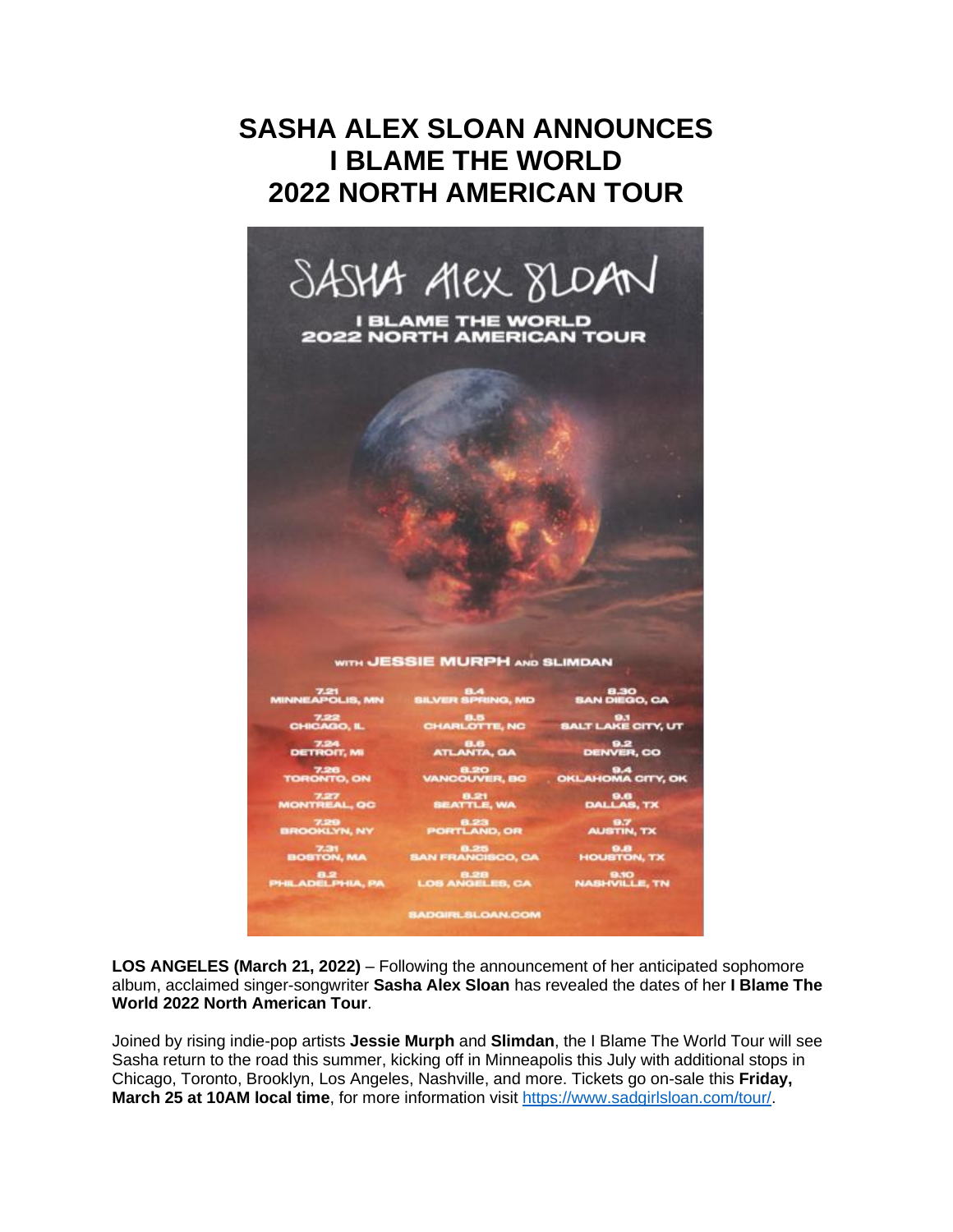## **SASHA ALEX SLOAN ANNOUNCES I BLAME THE WORLD 2022 NORTH AMERICAN TOUR**



**LOS ANGELES (March 21, 2022)** – Following the announcement of her anticipated sophomore album, acclaimed singer-songwriter **Sasha Alex Sloan** has revealed the dates of her **I Blame The World 2022 North American Tour**.

Joined by rising indie-pop artists **Jessie Murph** and **Slimdan**, the I Blame The World Tour will see Sasha return to the road this summer, kicking off in Minneapolis this July with additional stops in Chicago, Toronto, Brooklyn, Los Angeles, Nashville, and more. Tickets go on-sale this **Friday, March 25 at 10AM local time**, for more information visit [https://www.sadgirlsloan.com/tour/.](https://eur01.safelinks.protection.outlook.com/?url=https%3A%2F%2Fwww.sadgirlsloan.com%2Ftour%2F&data=04%7C01%7Cnoelle.janasiewicz.sme%40sonymusic.com%7C552b74f1deb746c88f9408da0b5beca4%7Cf0aff3b791a54aaeaf71c63e1dda2049%7C0%7C0%7C637834786697286669%7CUnknown%7CTWFpbGZsb3d8eyJWIjoiMC4wLjAwMDAiLCJQIjoiV2luMzIiLCJBTiI6Ik1haWwiLCJXVCI6Mn0%3D%7C3000&sdata=DLR0MgEKvjq52UZCWp5TCwJ23rjcBbqzTLE%2BQJIXIYM%3D&reserved=0)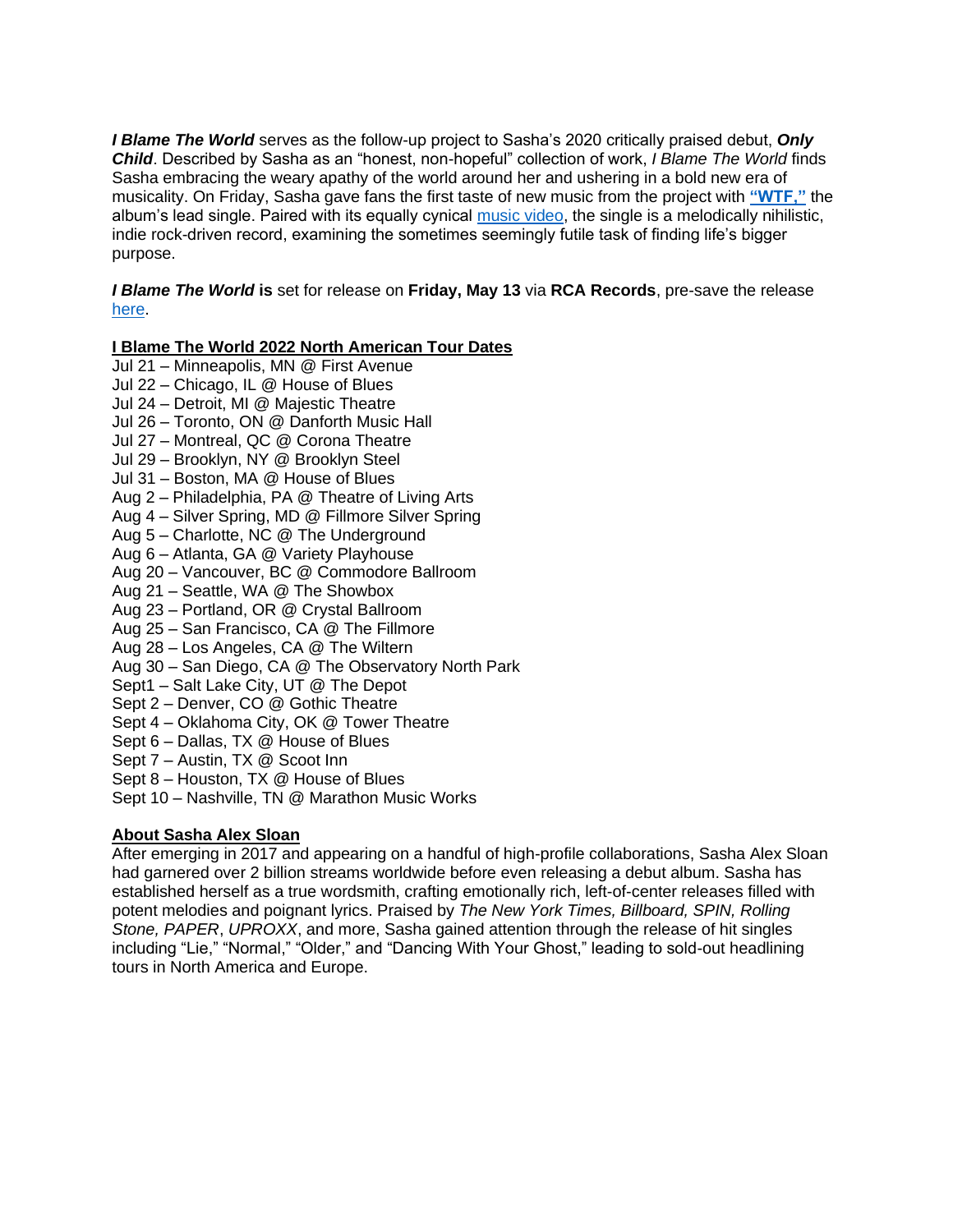*I Blame The World* serves as the follow-up project to Sasha's 2020 critically praised debut, *Only Child*. Described by Sasha as an "honest, non-hopeful" collection of work, *I Blame The World* finds Sasha embracing the weary apathy of the world around her and ushering in a bold new era of musicality. On Friday, Sasha gave fans the first taste of new music from the project with **["WTF,"](https://eur01.safelinks.protection.outlook.com/?url=https%3A%2F%2Fsadgirlsloan.lnk.to%2FWTF&data=04%7C01%7Cnoelle.janasiewicz.sme%40sonymusic.com%7C552b74f1deb746c88f9408da0b5beca4%7Cf0aff3b791a54aaeaf71c63e1dda2049%7C0%7C0%7C637834786697286669%7CUnknown%7CTWFpbGZsb3d8eyJWIjoiMC4wLjAwMDAiLCJQIjoiV2luMzIiLCJBTiI6Ik1haWwiLCJXVCI6Mn0%3D%7C3000&sdata=j8FNWQgFrEV3W0jZm9fUVxMz4ragyVuuyMJIR6HNVOI%3D&reserved=0)** the album's lead single. Paired with its equally cynical [music video,](https://eur01.safelinks.protection.outlook.com/?url=https%3A%2F%2Fsadgirlsloan.lnk.to%2FWTF%2Fyoutube&data=04%7C01%7Cnoelle.janasiewicz.sme%40sonymusic.com%7C552b74f1deb746c88f9408da0b5beca4%7Cf0aff3b791a54aaeaf71c63e1dda2049%7C0%7C0%7C637834786697286669%7CUnknown%7CTWFpbGZsb3d8eyJWIjoiMC4wLjAwMDAiLCJQIjoiV2luMzIiLCJBTiI6Ik1haWwiLCJXVCI6Mn0%3D%7C3000&sdata=6ObGfwYwuKcl6dZVovPD85F73QgNJYi0DqgMYLkF200%3D&reserved=0) the single is a melodically nihilistic, indie rock-driven record, examining the sometimes seemingly futile task of finding life's bigger purpose.

## *I Blame The World* **is** set for release on **Friday, May 13** via **RCA Records**, pre-save the release [here.](https://eur01.safelinks.protection.outlook.com/?url=https%3A%2F%2Fsadgirlsloan.lnk.to%2FIBTW&data=04%7C01%7Cnoelle.janasiewicz.sme%40sonymusic.com%7C552b74f1deb746c88f9408da0b5beca4%7Cf0aff3b791a54aaeaf71c63e1dda2049%7C0%7C0%7C637834786697286669%7CUnknown%7CTWFpbGZsb3d8eyJWIjoiMC4wLjAwMDAiLCJQIjoiV2luMzIiLCJBTiI6Ik1haWwiLCJXVCI6Mn0%3D%7C3000&sdata=vhijRy6T2NImJxiVQG2x4PmGwSST5IuCJJGz2g2yh%2Fo%3D&reserved=0)

## **I Blame The World 2022 North American Tour Dates**

- Jul 21 Minneapolis, MN @ First Avenue
- Jul 22 Chicago, IL @ House of Blues
- Jul 24 Detroit, MI @ Majestic Theatre
- Jul 26 Toronto, ON @ Danforth Music Hall
- Jul 27 Montreal, QC @ Corona Theatre
- Jul 29 Brooklyn, NY @ Brooklyn Steel
- Jul 31 Boston, MA @ House of Blues
- Aug 2 Philadelphia, PA @ Theatre of Living Arts
- Aug 4 Silver Spring, MD @ Fillmore Silver Spring
- Aug 5 Charlotte, NC @ The Underground
- Aug 6 Atlanta, GA @ Variety Playhouse
- Aug 20 Vancouver, BC @ Commodore Ballroom
- Aug 21 Seattle, WA @ The Showbox
- Aug 23 Portland, OR @ Crystal Ballroom
- Aug 25 San Francisco, CA @ The Fillmore
- Aug 28 Los Angeles, CA @ The Wiltern
- Aug 30 San Diego, CA @ The Observatory North Park
- Sept1 Salt Lake City, UT @ The Depot
- Sept 2 Denver, CO @ Gothic Theatre
- Sept 4 Oklahoma City, OK @ Tower Theatre
- Sept 6 Dallas, TX @ House of Blues
- Sept 7 Austin, TX @ Scoot Inn
- Sept 8 Houston, TX @ House of Blues
- Sept 10 Nashville, TN @ Marathon Music Works

## **About Sasha Alex Sloan**

After emerging in 2017 and appearing on a handful of high-profile collaborations, Sasha Alex Sloan had garnered over 2 billion streams worldwide before even releasing a debut album. Sasha has established herself as a true wordsmith, crafting emotionally rich, left-of-center releases filled with potent melodies and poignant lyrics. Praised by *The New York Times, Billboard, SPIN, Rolling Stone, PAPER*, *UPROXX*, and more, Sasha gained attention through the release of hit singles including "Lie," "Normal," "Older," and "Dancing With Your Ghost," leading to sold-out headlining tours in North America and Europe.